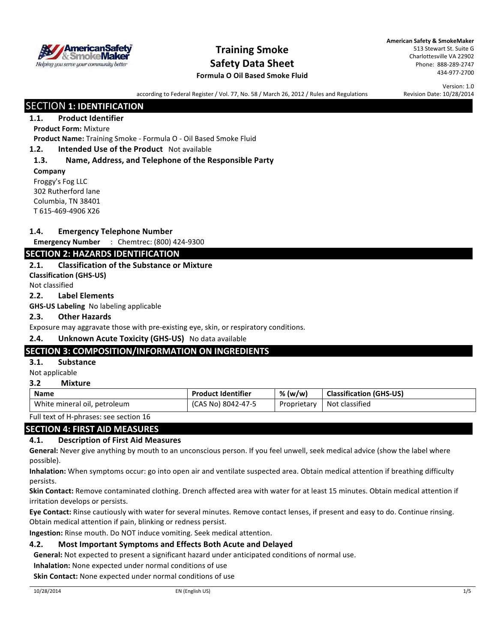

## **Training Smoke Safety Data Sheet**

**American Safety & SmokeMaker** 513 Stewart St. Suite G Charlottesville VA 22902 Phone: 888-289-2747 434-977-2700

## **Formula O Oil Based Smoke Fluid**

Version: 1.0 Revision Date: 10/28/2014

according to Federal Register / Vol. 77, No. 58 / March 26, 2012 / Rules and Regulations

## **SECTION 1: IDENTIFICATION**

## **1.1. Product Identifier**

### **Product Form: Mixture**

Product Name: Training Smoke - Formula O - Oil Based Smoke Fluid

#### **1.2. Intended Use of the Product** Not available

### **1.3. Name, Address, and Telephone of the Responsible Party**

**Company** Froggy's Fog LLC 302 Rutherford lane Columbia, TN 38401 T 615-469-4906 X26

#### **1.4. Emergency Telephone Number**

**Emergency Number** : Chemtrec: (800) 424-9300

## **SECTION 2: HAZARDS IDENTIFICATION**

#### **2.1. Classification of the Substance or Mixture**

**Classification (GHS-US)**

Not classified

#### **2.2. Label Elements**

**GHS-US Labeling** No labeling applicable

#### **2.3. Other Hazards**

Exposure may aggravate those with pre-existing eye, skin, or respiratory conditions.

#### **2.4. Unknown Acute Toxicity (GHS-US)** No data available

## **SECTION 3: COMPOSITION/INFORMATION ON INGREDIENTS**

## **3.1. Substance**

Not applicable

#### **3.2 Mixture**

| <b>Name</b>                  | <b>Product Identifier</b> | % (w/w)     | <b>Classification (GHS-US)</b> |
|------------------------------|---------------------------|-------------|--------------------------------|
| White mineral oil, petroleum | (CAS No) 8042-47-5        | Proprietary | Not classified                 |

Full text of H-phrases: see section 16

## **SECTION 4: FIRST AID MEASURES**

#### **4.1. Description of First Aid Measures**

General: Never give anything by mouth to an unconscious person. If you feel unwell, seek medical advice (show the label where possible).

**Inhalation:** When symptoms occur: go into open air and ventilate suspected area. Obtain medical attention if breathing difficulty persists.

Skin Contact: Remove contaminated clothing. Drench affected area with water for at least 15 minutes. Obtain medical attention if irritation develops or persists.

**Eye Contact:** Rinse cautiously with water for several minutes. Remove contact lenses, if present and easy to do. Continue rinsing. Obtain medical attention if pain, blinking or redness persist.

**Ingestion:** Rinse mouth. Do NOT induce vomiting. Seek medical attention.

## **4.2.** Most Important Symptoms and Effects Both Acute and Delayed

**General:** Not expected to present a significant hazard under anticipated conditions of normal use.

**Inhalation:** None expected under normal conditions of use

**Skin Contact:** None expected under normal conditions of use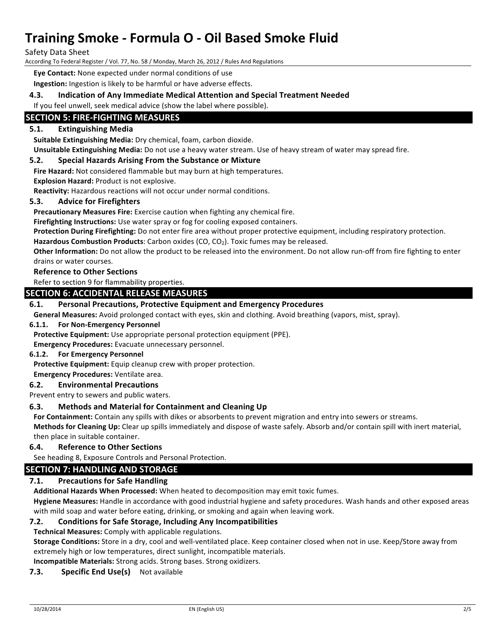Safety Data Sheet

According To Federal Register / Vol. 77, No. 58 / Monday, March 26, 2012 / Rules And Regulations

**Eve Contact:** None expected under normal conditions of use

**Ingestion:** Ingestion is likely to be harmful or have adverse effects.

#### **4.3. Indication of Any Immediate Medical Attention and Special Treatment Needed**

If you feel unwell, seek medical advice (show the label where possible).

## **SECTION 5: FIRE-FIGHTING MEASURES**

### **5.1. Extinguishing Media**

**Suitable Extinguishing Media:** Dry chemical, foam, carbon dioxide.

**Unsuitable Extinguishing Media:** Do not use a heavy water stream. Use of heavy stream of water may spread fire.

#### **5.2.** Special Hazards Arising From the Substance or Mixture

Fire Hazard: Not considered flammable but may burn at high temperatures.

**Explosion Hazard: Product is not explosive.** 

**Reactivity:** Hazardous reactions will not occur under normal conditions.

#### **5.3.** Advice for Firefighters

**Precautionary Measures Fire:** Exercise caution when fighting any chemical fire.

**Firefighting Instructions:** Use water spray or fog for cooling exposed containers.

Protection During Firefighting: Do not enter fire area without proper protective equipment, including respiratory protection.

Hazardous Combustion Products: Carbon oxides (CO, CO<sub>2</sub>). Toxic fumes may be released.

Other Information: Do not allow the product to be released into the environment. Do not allow run-off from fire fighting to enter drains or water courses.

#### **Reference to Other Sections**

Refer to section 9 for flammability properties.

#### **SECTION 6: ACCIDENTAL RELEASE MEASURES**

#### **6.1. Personal Precautions, Protective Equipment and Emergency Procedures**

**General Measures:** Avoid prolonged contact with eyes, skin and clothing. Avoid breathing (vapors, mist, spray).

#### **6.1.1. For Non-Emergency Personnel**

**Protective Equipment:** Use appropriate personal protection equipment (PPE).

**Emergency Procedures:** Evacuate unnecessary personnel.

#### **6.1.2.** For Emergency Personnel

**Protective Equipment:** Equip cleanup crew with proper protection.

#### **Emergency Procedures:** Ventilate area.

#### **6.2. Environmental Precautions**

Prevent entry to sewers and public waters.

#### **6.3. Methods and Material for Containment and Cleaning Up**

For Containment: Contain any spills with dikes or absorbents to prevent migration and entry into sewers or streams.

**Methods for Cleaning Up:** Clear up spills immediately and dispose of waste safely. Absorb and/or contain spill with inert material, then place in suitable container.

#### **6.4. Reference to Other Sections**

See heading 8, Exposure Controls and Personal Protection.

## **SECTION 7: HANDLING AND STORAGE**

#### **7.1.** Precautions for Safe Handling

Additional Hazards When Processed: When heated to decomposition may emit toxic fumes.

**Hygiene Measures:** Handle in accordance with good industrial hygiene and safety procedures. Wash hands and other exposed areas with mild soap and water before eating, drinking, or smoking and again when leaving work.

#### **7.2.** Conditions for Safe Storage, Including Any Incompatibilities

**Technical Measures:** Comply with applicable regulations.

**Storage Conditions:** Store in a dry, cool and well-ventilated place. Keep container closed when not in use. Keep/Store away from extremely high or low temperatures, direct sunlight, incompatible materials.

**Incompatible Materials:** Strong acids. Strong bases. Strong oxidizers.

#### **7.3.** Specific End Use(s) Not available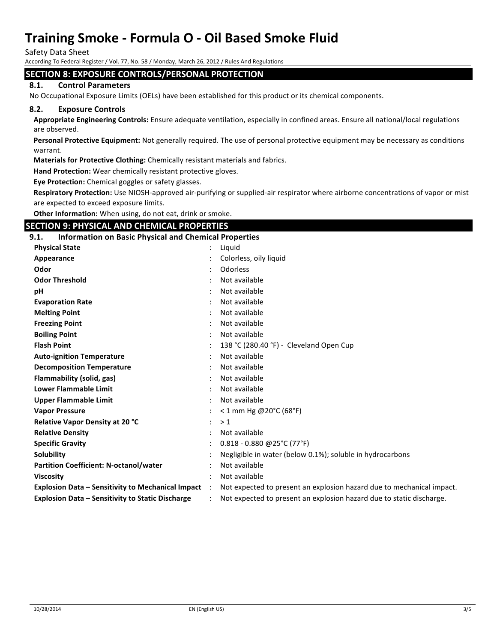Safety Data Sheet

According To Federal Register / Vol. 77, No. 58 / Monday, March 26, 2012 / Rules And Regulations

#### **SECTION 8: EXPOSURE CONTROLS/PERSONAL PROTECTION**

#### **8.1. Control Parameters**

No Occupational Exposure Limits (OELs) have been established for this product or its chemical components.

#### **8.2. Exposure Controls**

Appropriate Engineering Controls: Ensure adequate ventilation, especially in confined areas. Ensure all national/local regulations are observed.

Personal Protective Equipment: Not generally required. The use of personal protective equipment may be necessary as conditions warrant.

**Materials for Protective Clothing:** Chemically resistant materials and fabrics.

**Hand Protection:** Wear chemically resistant protective gloves.

**Eye Protection:** Chemical goggles or safety glasses.

**Respiratory Protection:** Use NIOSH-approved air-purifying or supplied-air respirator where airborne concentrations of vapor or mist are expected to exceed exposure limits.

Other Information: When using, do not eat, drink or smoke.

#### **SECTION 9: PHYSICAL AND CHEMICAL PROPERTIES**

| 9.1.<br><b>Information on Basic Physical and Chemical Properties</b> |           |                                                                       |
|----------------------------------------------------------------------|-----------|-----------------------------------------------------------------------|
| <b>Physical State</b>                                                |           | Liquid                                                                |
| Appearance                                                           |           | Colorless, oily liquid                                                |
| Odor                                                                 |           | Odorless                                                              |
| <b>Odor Threshold</b>                                                |           | Not available                                                         |
| pH                                                                   |           | Not available                                                         |
| <b>Evaporation Rate</b>                                              |           | Not available                                                         |
| <b>Melting Point</b>                                                 |           | Not available                                                         |
| <b>Freezing Point</b>                                                |           | Not available                                                         |
| <b>Boiling Point</b>                                                 |           | Not available                                                         |
| <b>Flash Point</b>                                                   |           | 138 °C (280.40 °F) - Cleveland Open Cup                               |
| <b>Auto-ignition Temperature</b>                                     |           | Not available                                                         |
| <b>Decomposition Temperature</b>                                     |           | Not available                                                         |
| <b>Flammability (solid, gas)</b>                                     |           | Not available                                                         |
| <b>Lower Flammable Limit</b>                                         |           | Not available                                                         |
| <b>Upper Flammable Limit</b>                                         |           | Not available                                                         |
| <b>Vapor Pressure</b>                                                |           | $<$ 1 mm Hg @ 20°C (68°F)                                             |
| Relative Vapor Density at 20 °C                                      |           | >1                                                                    |
| <b>Relative Density</b>                                              |           | Not available                                                         |
| <b>Specific Gravity</b>                                              |           | $0.818 - 0.880$ @25°C (77°F)                                          |
| Solubility                                                           |           | Negligible in water (below 0.1%); soluble in hydrocarbons             |
| <b>Partition Coefficient: N-octanol/water</b>                        |           | Not available                                                         |
| <b>Viscosity</b>                                                     |           | Not available                                                         |
| <b>Explosion Data - Sensitivity to Mechanical Impact</b>             | $\cdot$ : | Not expected to present an explosion hazard due to mechanical impact. |
| <b>Explosion Data - Sensitivity to Static Discharge</b>              |           | Not expected to present an explosion hazard due to static discharge.  |
|                                                                      |           |                                                                       |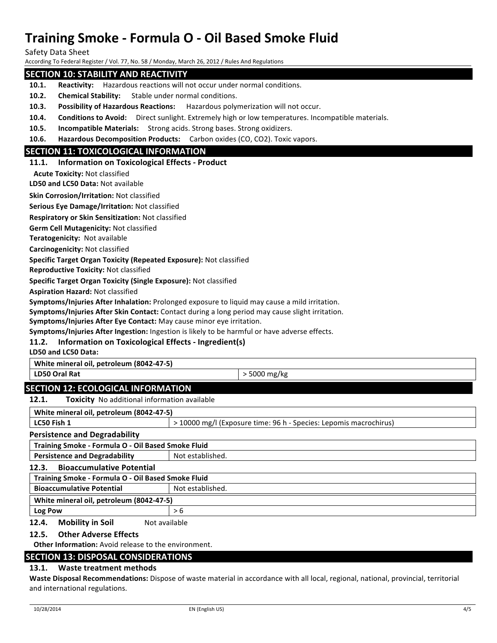Safety Data Sheet

According To Federal Register / Vol. 77, No. 58 / Monday, March 26, 2012 / Rules And Regulations

### **SECTION 10: STABILITY AND REACTIVITY**

- **10.1. Reactivity:** Hazardous reactions will not occur under normal conditions.
- **10.2. Chemical Stability:** Stable under normal conditions.
- **10.3. Possibility of Hazardous Reactions:** Hazardous polymerization will not occur.
- **10.4. Conditions to Avoid:** Direct sunlight. Extremely high or low temperatures. Incompatible materials.
- **10.5. Incompatible Materials:** Strong acids. Strong bases. Strong oxidizers.
- **10.6. Hazardous Decomposition Products:** Carbon oxides (CO, CO2). Toxic vapors.

### **SECTION 11: TOXICOLOGICAL INFORMATION**

#### **11.1. Information on Toxicological Effects - Product**

**Acute Toxicity: Not classified** 

**LD50 and LC50 Data: Not available** 

**Skin Corrosion/Irritation: Not classified** 

**Serious Eye Damage/Irritation: Not classified** 

**Respiratory or Skin Sensitization:** Not classified

**Germ Cell Mutagenicity: Not classified** 

**Teratogenicity:** Not available

**Carcinogenicity: Not classified** 

#### **Specific Target Organ Toxicity (Repeated Exposure):** Not classified

**Reproductive Toxicity: Not classified** 

**Specific Target Organ Toxicity (Single Exposure):** Not classified

**Aspiration Hazard:** Not classified

**Symptoms/Injuries After Inhalation:** Prolonged exposure to liquid may cause a mild irritation.

Symptoms/Injuries After Skin Contact: Contact during a long period may cause slight irritation.

**Symptoms/Injuries After Eye Contact:** May cause minor eye irritation.

**Symptoms/Injuries After Ingestion:** Ingestion is likely to be harmful or have adverse effects.

#### **11.2. Information on Toxicological Effects - Ingredient(s)**

**LD50 and LC50 Data:** 

**White mineral oil, petroleum (8042-47-5)** 

**LD50 Oral Rat**  $\vert$  > 5000 mg/kg

## **SECTION 12: ECOLOGICAL INFORMATION**

**12.1.** Toxicity No additional information available

| White mineral oil, petroleum (8042-47-5)           |                                                                   |  |  |  |
|----------------------------------------------------|-------------------------------------------------------------------|--|--|--|
| LC50 Fish 1                                        | > 10000 mg/l (Exposure time: 96 h - Species: Lepomis macrochirus) |  |  |  |
| <b>Persistence and Degradability</b>               |                                                                   |  |  |  |
| Training Smoke - Formula O - Oil Based Smoke Fluid |                                                                   |  |  |  |
| <b>Persistence and Degradability</b>               | Not established.                                                  |  |  |  |
| <b>Bioaccumulative Potential</b><br>12.3.          |                                                                   |  |  |  |
| Training Smoke - Formula O - Oil Based Smoke Fluid |                                                                   |  |  |  |
| <b>Bioaccumulative Potential</b>                   | Not established.                                                  |  |  |  |
| White mineral oil, petroleum (8042-47-5)           |                                                                   |  |  |  |
| Log Pow                                            | > 6                                                               |  |  |  |
| <b>Mobility in Soil</b><br>12.4.<br>Not available  |                                                                   |  |  |  |

#### **12.5. Other Adverse Effects**

**Other Information:** Avoid release to the environment.

#### **SECTION 13: DISPOSAL CONSIDERATIONS**

#### 13.1. Waste treatment methods

**Waste Disposal Recommendations:** Dispose of waste material in accordance with all local, regional, national, provincial, territorial and international regulations.